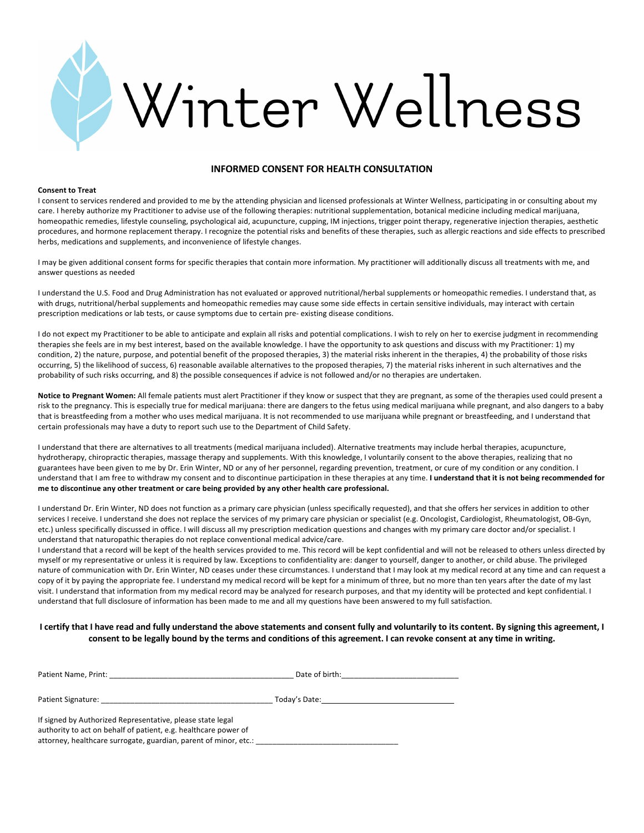

# **INFORMED CONSENT FOR HEALTH CONSULTATION**

### **Consent to Treat**

I consent to services rendered and provided to me by the attending physician and licensed professionals at Winter Wellness, participating in or consulting about my care. I hereby authorize my Practitioner to advise use of the following therapies: nutritional supplementation, botanical medicine including medical marijuana, homeopathic remedies, lifestyle counseling, psychological aid, acupuncture, cupping, IM injections, trigger point therapy, regenerative injection therapies, aesthetic procedures, and hormone replacement therapy. I recognize the potential risks and benefits of these therapies, such as allergic reactions and side effects to prescribed herbs, medications and supplements, and inconvenience of lifestyle changes.

I may be given additional consent forms for specific therapies that contain more information. My practitioner will additionally discuss all treatments with me, and answer questions as needed

I understand the U.S. Food and Drug Administration has not evaluated or approved nutritional/herbal supplements or homeopathic remedies. I understand that, as with drugs, nutritional/herbal supplements and homeopathic remedies may cause some side effects in certain sensitive individuals, may interact with certain prescription medications or lab tests, or cause symptoms due to certain pre- existing disease conditions.

I do not expect my Practitioner to be able to anticipate and explain all risks and potential complications. I wish to rely on her to exercise judgment in recommending therapies she feels are in my best interest, based on the available knowledge. I have the opportunity to ask questions and discuss with my Practitioner: 1) my condition, 2) the nature, purpose, and potential benefit of the proposed therapies, 3) the material risks inherent in the therapies, 4) the probability of those risks occurring, 5) the likelihood of success, 6) reasonable available alternatives to the proposed therapies, 7) the material risks inherent in such alternatives and the probability of such risks occurring, and 8) the possible consequences if advice is not followed and/or no therapies are undertaken.

**Notice to Pregnant Women:** All female patients must alert Practitioner if they know or suspect that they are pregnant, as some of the therapies used could present a risk to the pregnancy. This is especially true for medical marijuana: there are dangers to the fetus using medical marijuana while pregnant, and also dangers to a baby that is breastfeeding from a mother who uses medical marijuana. It is not recommended to use marijuana while pregnant or breastfeeding, and I understand that certain professionals may have a duty to report such use to the Department of Child Safety.

I understand that there are alternatives to all treatments (medical marijuana included). Alternative treatments may include herbal therapies, acupuncture, hydrotherapy, chiropractic therapies, massage therapy and supplements. With this knowledge, I voluntarily consent to the above therapies, realizing that no guarantees have been given to me by Dr. Erin Winter, ND or any of her personnel, regarding prevention, treatment, or cure of my condition or any condition. I understand that I am free to withdraw my consent and to discontinue participation in these therapies at any time. **I understand that it is not being recommended for me to discontinue any other treatment or care being provided by any other health care professional.** 

I understand Dr. Erin Winter, ND does not function as a primary care physician (unless specifically requested), and that she offers her services in addition to other services I receive. I understand she does not replace the services of my primary care physician or specialist (e.g. Oncologist, Cardiologist, Rheumatologist, OB-Gyn, etc.) unless specifically discussed in office. I will discuss all my prescription medication questions and changes with my primary care doctor and/or specialist. I understand that naturopathic therapies do not replace conventional medical advice/care.

I understand that a record will be kept of the health services provided to me. This record will be kept confidential and will not be released to others unless directed by myself or my representative or unless it is required by law. Exceptions to confidentiality are: danger to yourself, danger to another, or child abuse. The privileged nature of communication with Dr. Erin Winter, ND ceases under these circumstances. I understand that I may look at my medical record at any time and can request a copy of it by paying the appropriate fee. I understand my medical record will be kept for a minimum of three, but no more than ten years after the date of my last visit. I understand that information from my medical record may be analyzed for research purposes, and that my identity will be protected and kept confidential. I understand that full disclosure of information has been made to me and all my questions have been answered to my full satisfaction.

# **I certify that I have read and fully understand the above statements and consent fully and voluntarily to its content. By signing this agreement, I consent to be legally bound by the terms and conditions of this agreement. I can revoke consent at any time in writing.**

| Patient Name, Print:                                                                                                                                                                              | Date of birth:                                  |
|---------------------------------------------------------------------------------------------------------------------------------------------------------------------------------------------------|-------------------------------------------------|
| Patient Signature:                                                                                                                                                                                | Today's Date: The Contract of the Today's Date: |
| If signed by Authorized Representative, please state legal<br>authority to act on behalf of patient, e.g. healthcare power of<br>attorney, healthcare surrogate, guardian, parent of minor, etc.: |                                                 |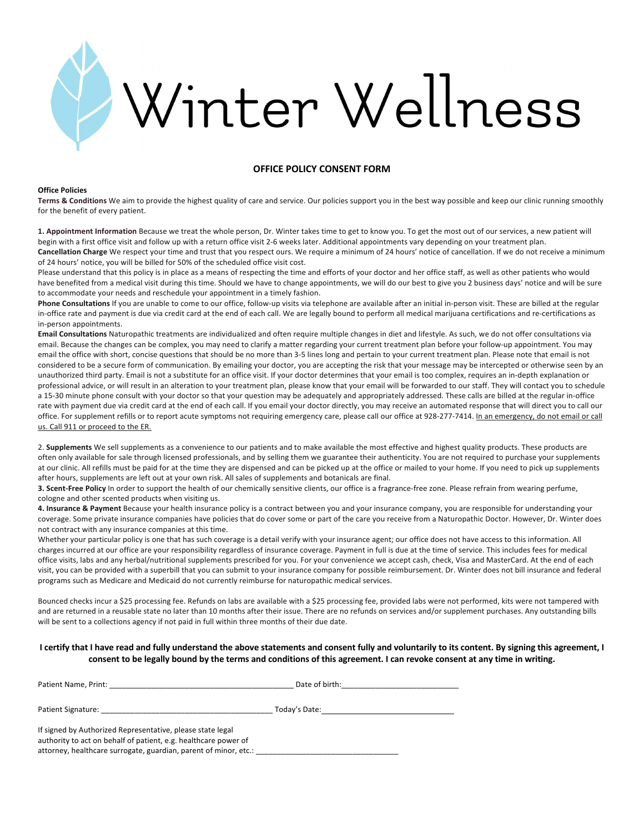

# **OFFICE POLICY CONSENT FORM**

### **Office Policies**

**Terms & Conditions** We aim to provide the highest quality of care and service. Our policies support you in the best way possible and keep our clinic running smoothly for the benefit of every patient.

**1. Appointment Information** Because we treat the whole person, Dr. Winter takes time to get to know you. To get the most out of our services, a new patient will begin with a first office visit and follow up with a return office visit 2-6 weeks later. Additional appointments vary depending on your treatment plan. **Cancellation Charge** We respect your time and trust that you respect ours. We require a minimum of 24 hours' notice of cancellation. If we do not receive a minimum of 24 hours' notice, you will be billed for 50% of the scheduled office visit cost.

Please understand that this policy is in place as a means of respecting the time and efforts of your doctor and her office staff, as well as other patients who would have benefited from a medical visit during this time. Should we have to change appointments, we will do our best to give you 2 business days' notice and will be sure to accommodate your needs and reschedule your appointment in a timely fashion.

**Phone Consultations** If you are unable to come to our office, follow-up visits via telephone are available after an initial in-person visit. These are billed at the regular in-office rate and payment is due via credit card at the end of each call. We are legally bound to perform all medical marijuana certifications and re-certifications as in-person appointments.

**Email Consultations** Naturopathic treatments are individualized and often require multiple changes in diet and lifestyle. As such, we do not offer consultations via email. Because the changes can be complex, you may need to clarify a matter regarding your current treatment plan before your follow-up appointment. You may email the office with short, concise questions that should be no more than 3-5 lines long and pertain to your current treatment plan. Please note that email is not considered to be a secure form of communication. By emailing your doctor, you are accepting the risk that your message may be intercepted or otherwise seen by an unauthorized third party. Email is not a substitute for an office visit. If your doctor determines that your email is too complex, requires an in-depth explanation or professional advice, or will result in an alteration to your treatment plan, please know that your email will be forwarded to our staff. They will contact you to schedule a 15-30 minute phone consult with your doctor so that your question may be adequately and appropriately addressed. These calls are billed at the regular in-office rate with payment due via credit card at the end of each call. If you email your doctor directly, you may receive an automated response that will direct you to call our office. For supplement refills or to report acute symptoms not requiring emergency care, please call our office at 928-277-7414. In an emergency, do not email or call us. Call 911 or proceed to the ER.

2. **Supplements** We sell supplements as a convenience to our patients and to make available the most effective and highest quality products. These products are often only available for sale through licensed professionals, and by selling them we guarantee their authenticity. You are not required to purchase your supplements at our clinic. All refills must be paid for at the time they are dispensed and can be picked up at the office or mailed to your home. If you need to pick up supplements after hours, supplements are left out at your own risk. All sales of supplements and botanicals are final.

**3. Scent-Free Policy** In order to support the health of our chemically sensitive clients, our office is a fragrance-free zone. Please refrain from wearing perfume, cologne and other scented products when visiting us.

**4. Insurance & Payment** Because your health insurance policy is a contract between you and your insurance company, you are responsible for understanding your coverage. Some private insurance companies have policies that do cover some or part of the care you receive from a Naturopathic Doctor. However, Dr. Winter does not contract with any insurance companies at this time.

Whether your particular policy is one that has such coverage is a detail verify with your insurance agent; our office does not have access to this information. All charges incurred at our office are your responsibility regardless of insurance coverage. Payment in full is due at the time of service. This includes fees for medical office visits, labs and any herbal/nutritional supplements prescribed for you. For your convenience we accept cash, check, Visa and MasterCard. At the end of each visit, you can be provided with a superbill that you can submit to your insurance company for possible reimbursement. Dr. Winter does not bill insurance and federal programs such as Medicare and Medicaid do not currently reimburse for naturopathic medical services.

Bounced checks incur a \$25 processing fee. Refunds on labs are available with a \$25 processing fee, provided labs were not performed, kits were not tampered with and are returned in a reusable state no later than 10 months after their issue. There are no refunds on services and/or supplement purchases. Any outstanding bills will be sent to a collections agency if not paid in full within three months of their due date.

# **I certify that I have read and fully understand the above statements and consent fully and voluntarily to its content. By signing this agreement, I consent to be legally bound by the terms and conditions of this agreement. I can revoke consent at any time in writing.**

| Patient Name, Print: | Date of birth: |
|----------------------|----------------|
|                      |                |
| Patient Signature:   | Today's Date:  |
|                      |                |

If signed by Authorized Representative, please state legal authority to act on behalf of patient, e.g. healthcare power of attorney, healthcare surrogate, guardian, parent of minor, etc.: \_